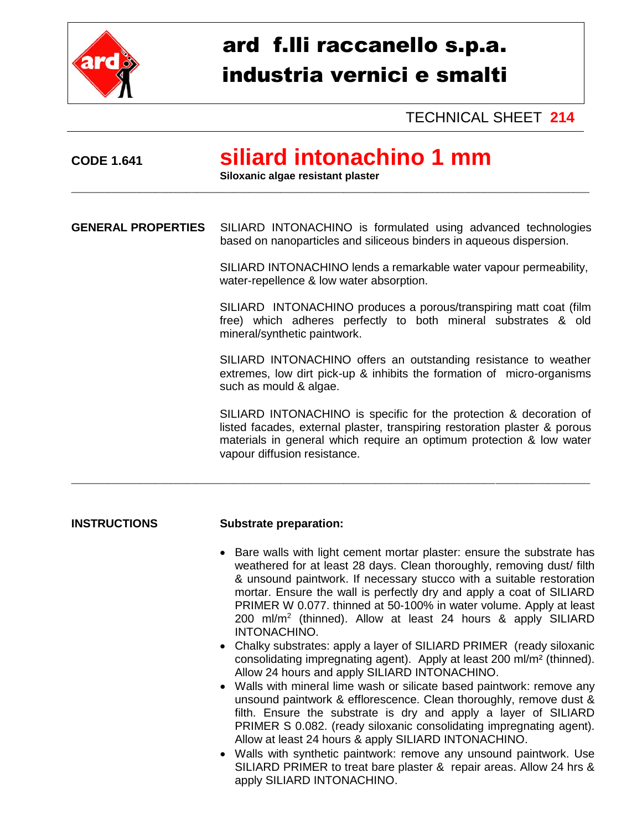

# ard f.lli raccanello s.p.a. industria vernici e smalti

TECHNICAL SHEET **214**

## **CODE 1.641 siliard intonachino 1 mm**

**Siloxanic algae resistant plaster**

**GENERAL PROPERTIES** SILIARD INTONACHINO is formulated using advanced technologies based on nanoparticles and siliceous binders in aqueous dispersion.

\_\_\_\_\_\_\_\_\_\_\_\_\_\_\_\_\_\_\_\_\_\_\_\_\_\_\_\_\_\_\_\_\_\_\_\_\_\_\_\_\_\_\_\_\_\_\_\_\_\_\_\_\_\_\_\_\_\_\_\_\_\_\_\_\_\_\_\_\_\_\_\_\_\_\_\_\_\_\_\_\_\_\_\_\_\_\_\_\_\_\_\_\_\_\_\_\_\_\_

\_\_\_\_\_\_\_\_\_\_\_\_\_\_\_\_\_\_\_\_\_\_\_\_\_\_\_\_\_\_\_\_\_\_\_\_\_\_\_\_\_\_\_\_\_\_\_\_\_\_\_\_\_\_\_\_\_\_\_\_\_\_\_\_\_\_\_\_\_\_\_\_\_\_\_\_\_\_\_\_\_\_\_\_\_\_\_\_\_\_\_\_\_\_\_\_\_\_\_

SILIARD INTONACHINO lends a remarkable water vapour permeability, water-repellence & low water absorption.

SILIARD INTONACHINO produces a porous/transpiring matt coat (film free) which adheres perfectly to both mineral substrates & old mineral/synthetic paintwork.

SILIARD INTONACHINO offers an outstanding resistance to weather extremes, low dirt pick-up & inhibits the formation of micro-organisms such as mould & algae.

SILIARD INTONACHINO is specific for the protection & decoration of listed facades, external plaster, transpiring restoration plaster & porous materials in general which require an optimum protection & low water vapour diffusion resistance.

#### **INSTRUCTIONS Substrate preparation:**

- Bare walls with light cement mortar plaster: ensure the substrate has weathered for at least 28 days. Clean thoroughly, removing dust/ filth & unsound paintwork. If necessary stucco with a suitable restoration mortar. Ensure the wall is perfectly dry and apply a coat of SILIARD PRIMER W 0.077. thinned at 50-100% in water volume. Apply at least 200 ml/m<sup>2</sup> (thinned). Allow at least 24 hours & apply SILIARD INTONACHINO.
- Chalky substrates: apply a layer of SILIARD PRIMER (ready siloxanic consolidating impregnating agent). Apply at least 200 ml/m² (thinned). Allow 24 hours and apply SILIARD INTONACHINO.
- Walls with mineral lime wash or silicate based paintwork: remove any unsound paintwork & efflorescence. Clean thoroughly, remove dust & filth. Ensure the substrate is dry and apply a layer of SILIARD PRIMER S 0.082. (ready siloxanic consolidating impregnating agent). Allow at least 24 hours & apply SILIARD INTONACHINO.
- Walls with synthetic paintwork: remove any unsound paintwork. Use SILIARD PRIMER to treat bare plaster & repair areas. Allow 24 hrs & apply SILIARD INTONACHINO.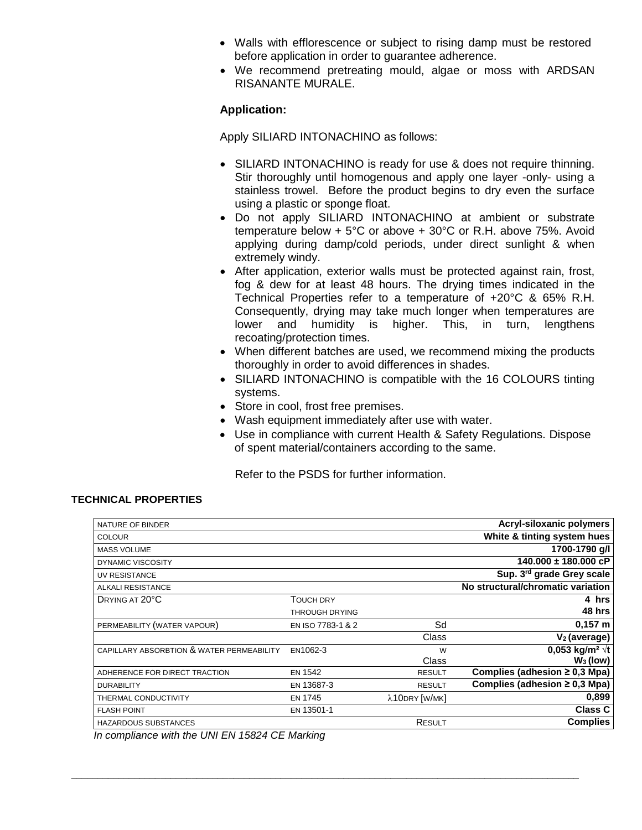- Walls with efflorescence or subject to rising damp must be restored before application in order to guarantee adherence.
- We recommend pretreating mould, algae or moss with ARDSAN RISANANTE MURALE.

### **Application:**

Apply SILIARD INTONACHINO as follows:

- SILIARD INTONACHINO is ready for use & does not require thinning. Stir thoroughly until homogenous and apply one layer -only- using a stainless trowel. Before the product begins to dry even the surface using a plastic or sponge float.
- Do not apply SILIARD INTONACHINO at ambient or substrate temperature below + 5°C or above + 30°C or R.H. above 75%. Avoid applying during damp/cold periods, under direct sunlight & when extremely windy.
- After application, exterior walls must be protected against rain, frost, fog & dew for at least 48 hours. The drying times indicated in the Technical Properties refer to a temperature of +20°C & 65% R.H. Consequently, drying may take much longer when temperatures are<br>lower and humidity is higher. This, in turn, lengthens lower and humidity is higher. This, in turn, lengthens recoating/protection times.
- When different batches are used, we recommend mixing the products thoroughly in order to avoid differences in shades.
- SILIARD INTONACHINO is compatible with the 16 COLOURS tinting systems.
- Store in cool, frost free premises.
- Wash equipment immediately after use with water.
- Use in compliance with current Health & Safety Regulations. Dispose of spent material/containers according to the same.

Refer to the PSDS for further information.

#### **TECHNICAL PROPERTIES**

| NATURE OF BINDER                          |                   |               | Acryl-siloxanic polymers           |
|-------------------------------------------|-------------------|---------------|------------------------------------|
| <b>COLOUR</b>                             |                   |               | White & tinting system hues        |
| <b>MASS VOLUME</b>                        |                   |               | 1700-1790 q/l                      |
| DYNAMIC VISCOSITY                         |                   |               | $140.000 \pm 180.000$ cP           |
| UV RESISTANCE                             |                   |               | Sup. 3rd grade Grey scale          |
| ALKALI RESISTANCE                         |                   |               | No structural/chromatic variation  |
| DRYING AT 20°C                            | <b>TOUCH DRY</b>  |               | 4 hrs                              |
|                                           | THROUGH DRYING    |               | 48 hrs                             |
| PERMEABILITY (WATER VAPOUR)               | EN ISO 7783-1 & 2 | Sd            | $0,157 \; m$                       |
|                                           |                   | Class         | $V_2$ (average)                    |
| CAPILLARY ABSORBTION & WATER PERMEABILITY | EN1062-3          | W             | 0,053 kg/m <sup>2</sup> $\sqrt{t}$ |
|                                           |                   | Class         | $W_3$ (low)                        |
| ADHERENCE FOR DIRECT TRACTION             | <b>EN 1542</b>    | <b>RESULT</b> | Complies (adhesion $\geq 0.3$ Mpa) |
| <b>DURABILITY</b>                         | EN 13687-3        | <b>RESULT</b> | Complies (adhesion $\geq$ 0,3 Mpa) |
| THERMAL CONDUCTIVITY                      | <b>EN 1745</b>    | λ10DRY [W/MK] | 0,899                              |
| <b>FLASH POINT</b>                        | EN 13501-1        |               | <b>Class C</b>                     |
| <b>HAZARDOUS SUBSTANCES</b>               |                   | RESULT        | <b>Complies</b>                    |
|                                           |                   |               |                                    |

 $\_$  ,  $\_$  ,  $\_$  ,  $\_$  ,  $\_$  ,  $\_$  ,  $\_$  ,  $\_$  ,  $\_$  ,  $\_$  ,  $\_$  ,  $\_$  ,  $\_$  ,  $\_$  ,  $\_$  ,  $\_$  ,  $\_$  ,  $\_$  ,  $\_$  ,  $\_$  ,  $\_$  ,  $\_$  ,  $\_$  ,  $\_$  ,  $\_$  ,  $\_$  ,  $\_$  ,  $\_$  ,  $\_$  ,  $\_$  ,  $\_$  ,  $\_$  ,  $\_$  ,  $\_$  ,  $\_$  ,  $\_$  ,  $\_$  ,

*In compliance with the UNI EN 15824 CE Marking*